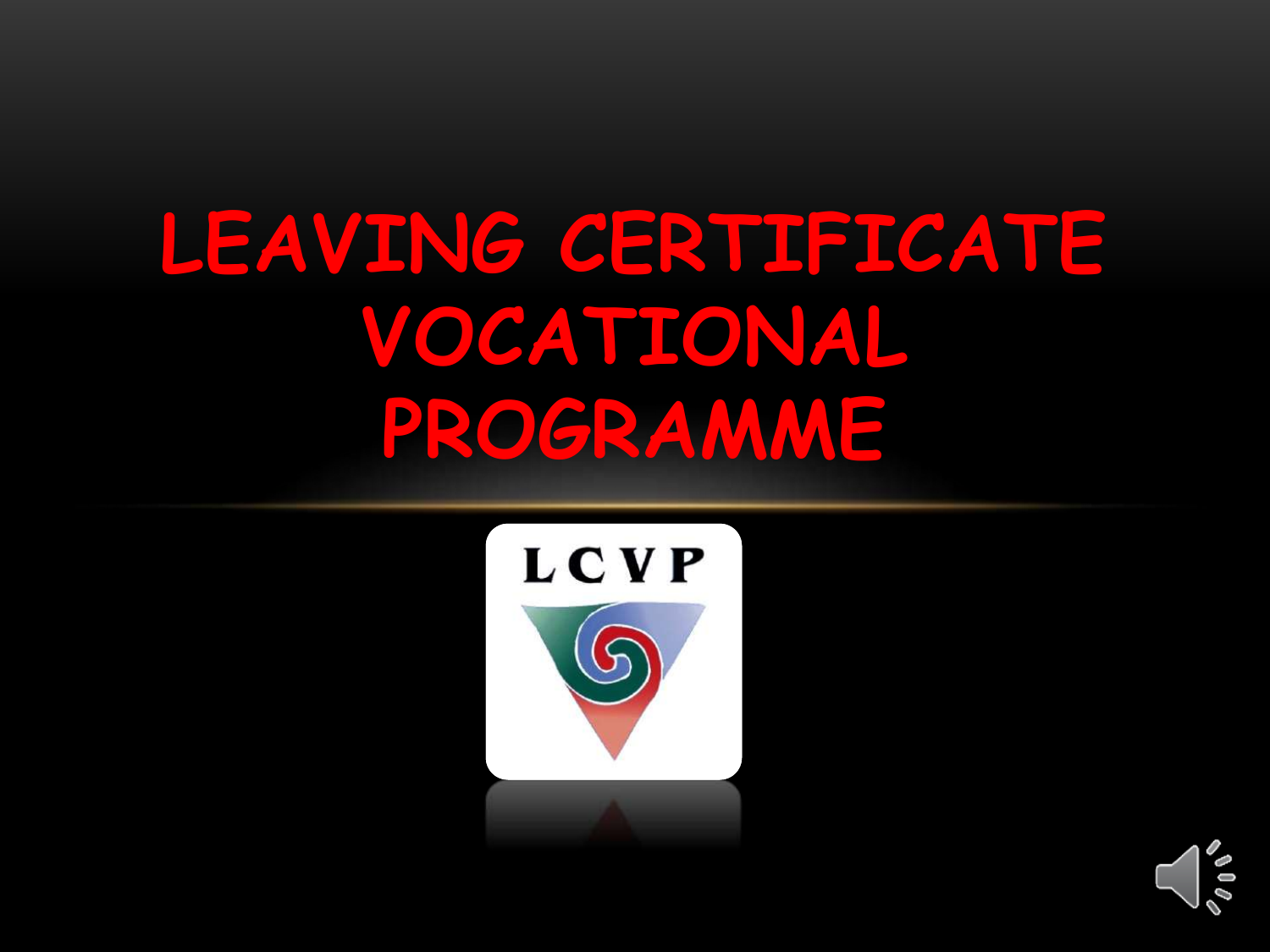# **LEAVING CERTIFICATE VOCATIONAL PROGRAMME**



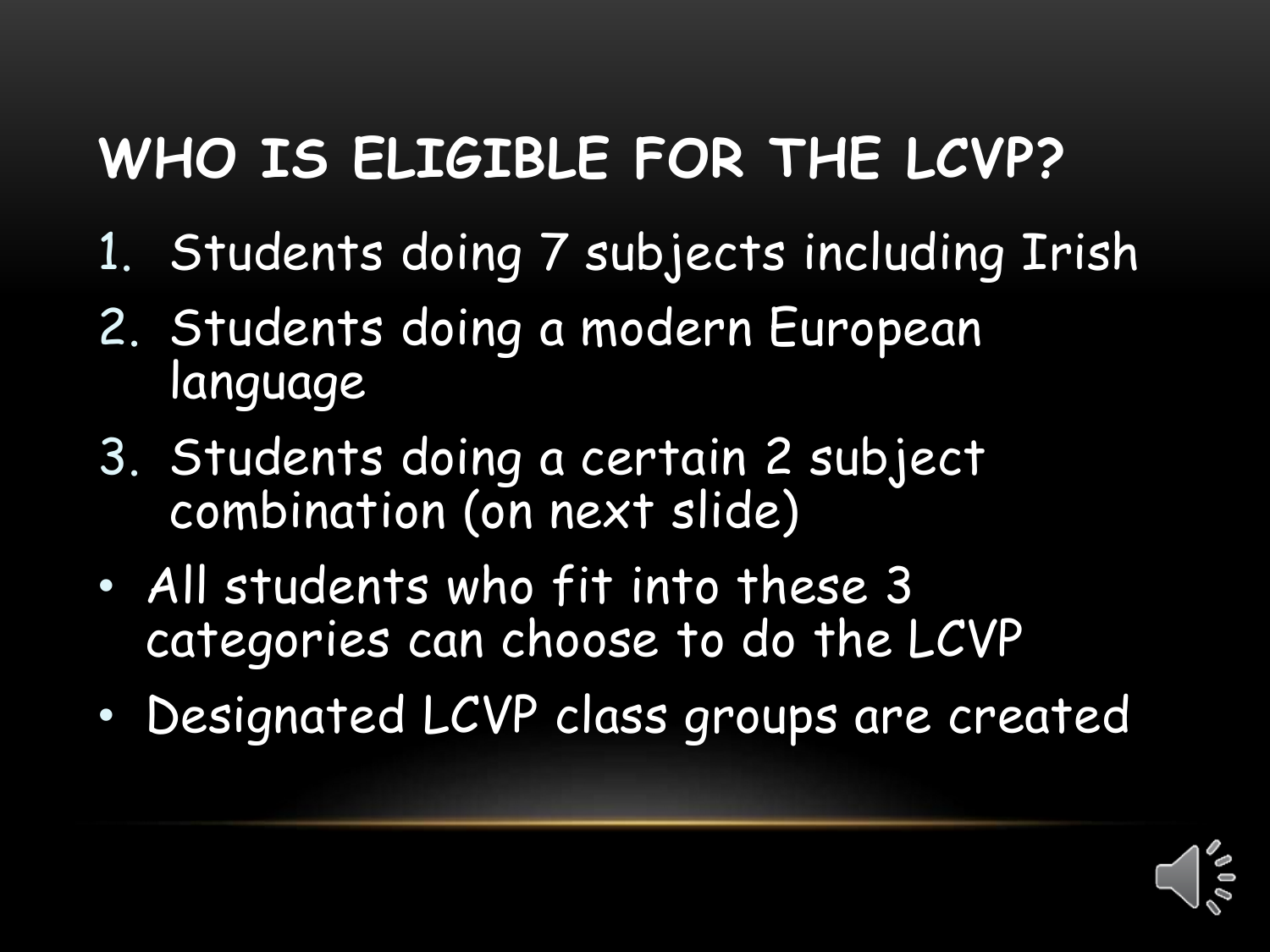### **WHO IS ELIGIBLE FOR THE LCVP?**

- 1. Students doing 7 subjects including Irish
- 2. Students doing a modern European language
- 3. Students doing a certain 2 subject combination (on next slide)
- All students who fit into these 3 categories can choose to do the LCVP
- Designated LCVP class groups are created

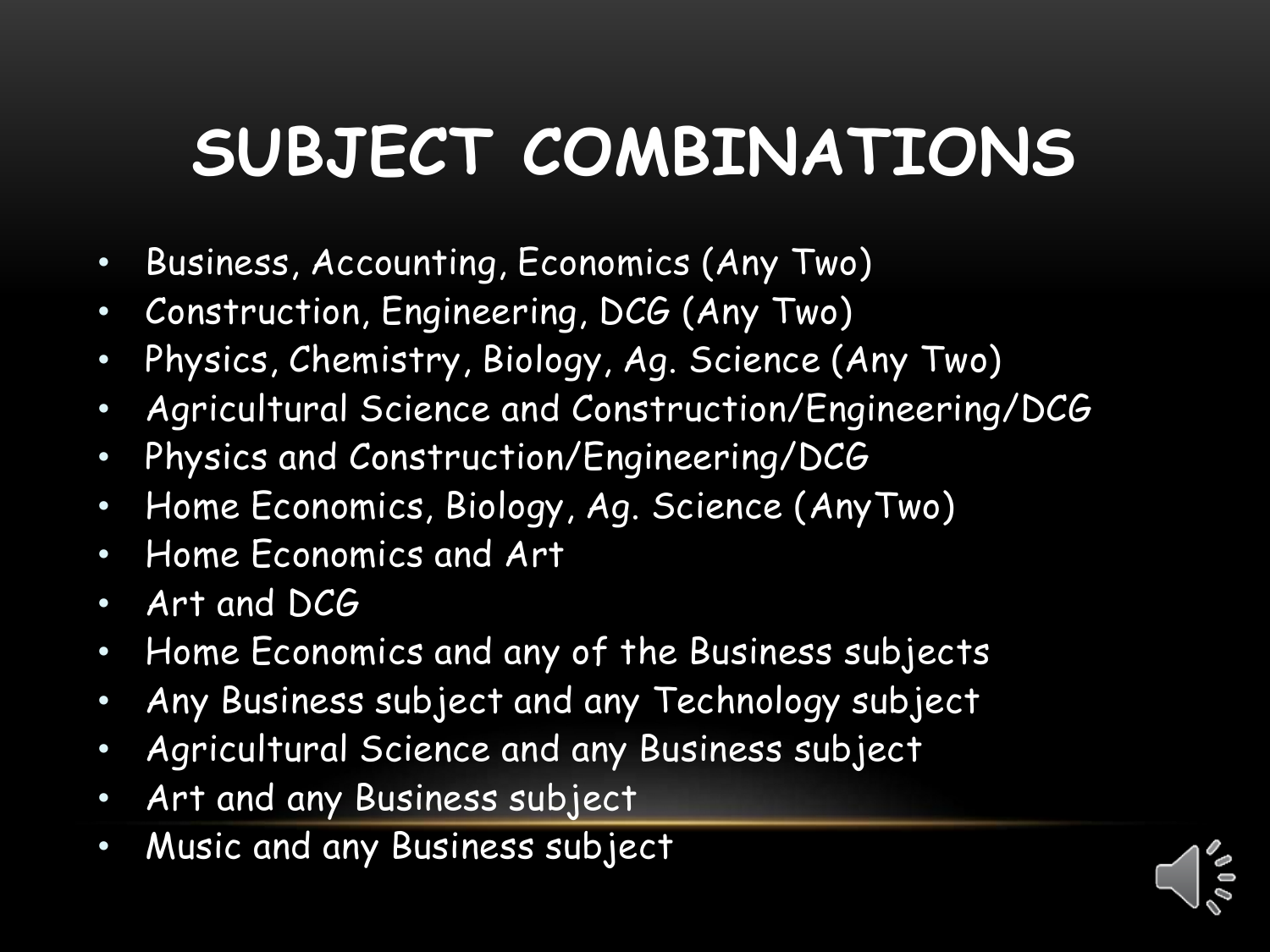### **SUBJECT COMBINATIONS**

- Business, Accounting, Economics (Any Two)
- Construction, Engineering, DCG (Any Two)
- Physics, Chemistry, Biology, Ag. Science (Any Two)
- Agricultural Science and Construction/Engineering/DCG
- Physics and Construction/Engineering/DCG
- Home Economics, Biology, Ag. Science (AnyTwo)
- Home Economics and Art
- Art and DCG
- Home Economics and any of the Business subjects
- Any Business subject and any Technology subject
- Agricultural Science and any Business subject
- Art and any Business subject
- Music and any Business subject

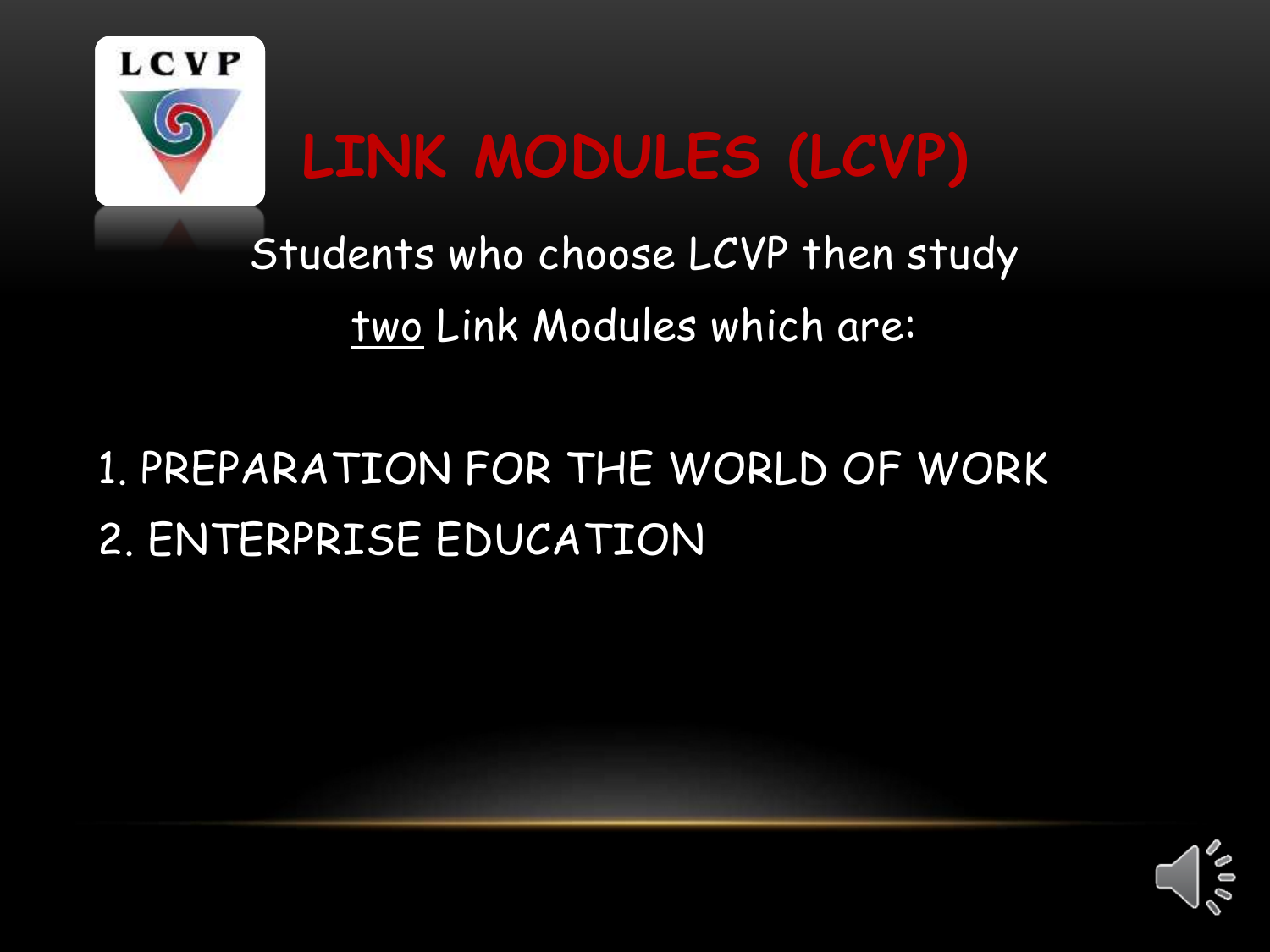

### **LINK MODULES (LCVP)**

Students who choose LCVP then study two Link Modules which are:

#### 1. PREPARATION FOR THE WORLD OF WORK 2. ENTERPRISE EDUCATION

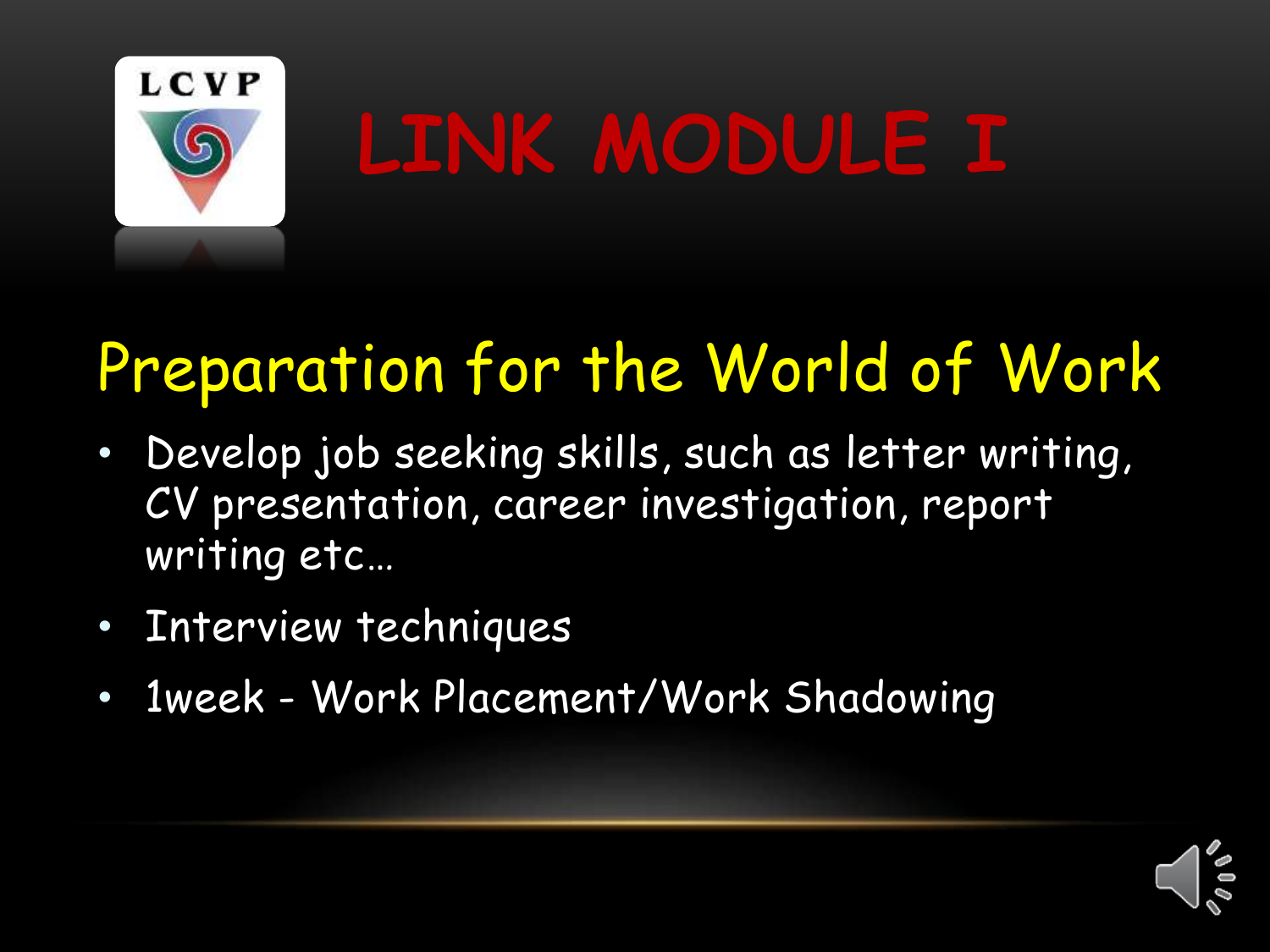

# **LINK MODULE I**

### Preparation for the World of Work

- Develop job seeking skills, such as letter writing, CV presentation, career investigation, report writing etc…
- Interview techniques
- 1week Work Placement/Work Shadowing

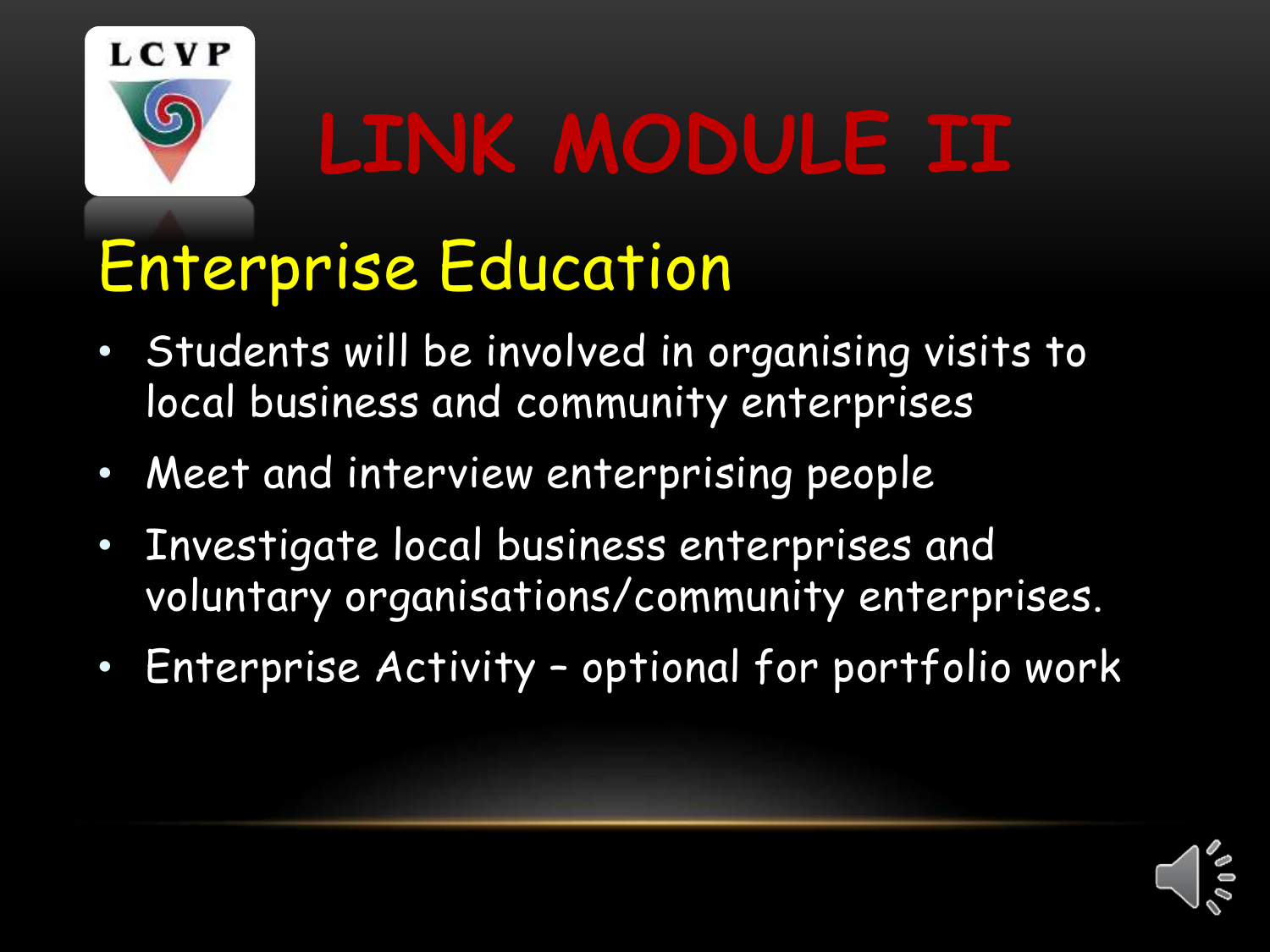

# **LINK MODULE II**

### Enterprise Education

- Students will be involved in organising visits to local business and community enterprises
- Meet and interview enterprising people
- Investigate local business enterprises and voluntary organisations/community enterprises.
- Enterprise Activity optional for portfolio work

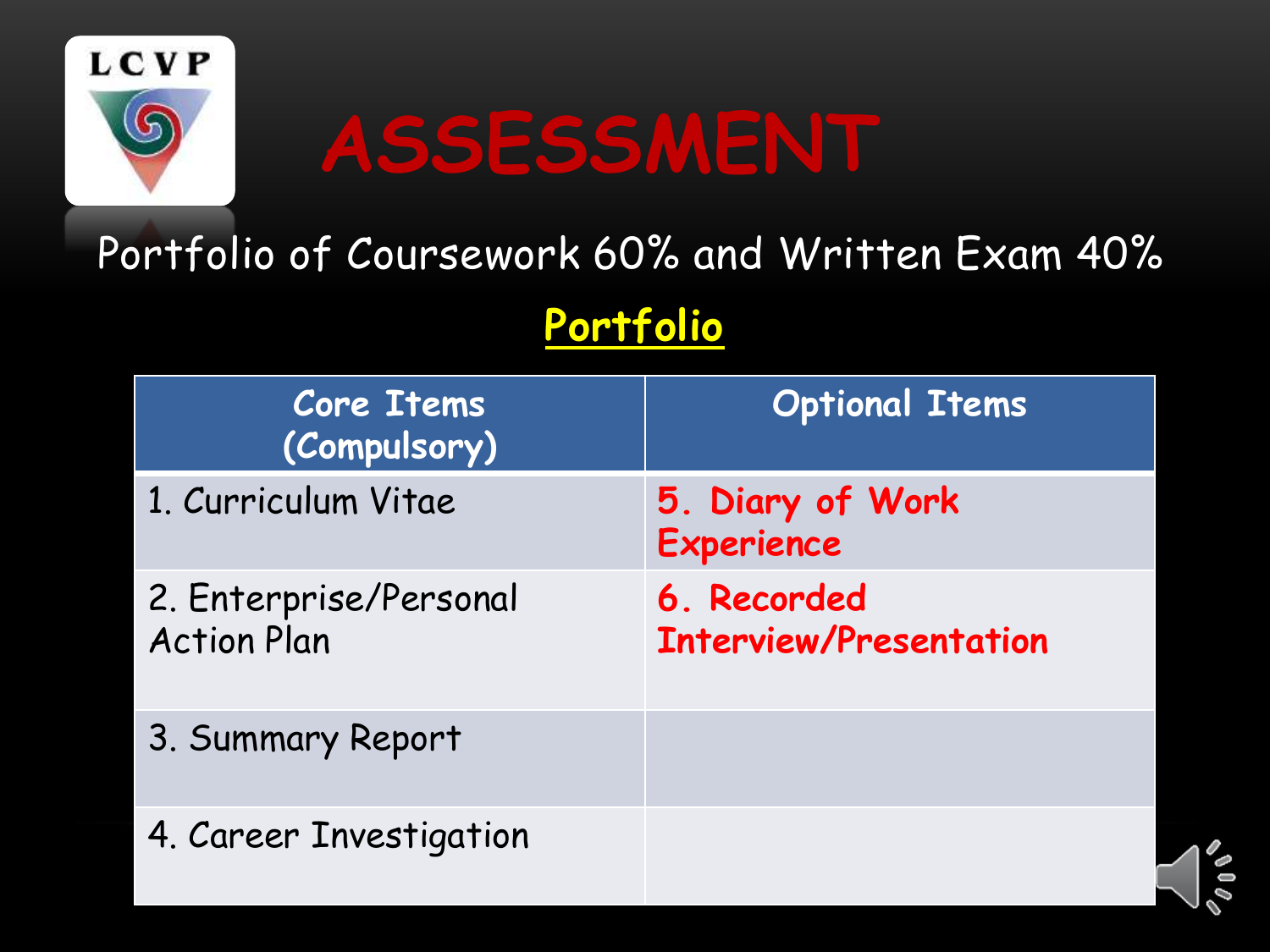

## **ASSESSMENT**

#### Portfolio of Coursework 60% and Written Exam 40%

**Portfolio**

| <b>Core Items</b><br>(Compulsory)            | <b>Optional Items</b>                        |
|----------------------------------------------|----------------------------------------------|
| 1. Curriculum Vitae                          | 5. Diary of Work<br><b>Experience</b>        |
| 2. Enterprise/Personal<br><b>Action Plan</b> | 6. Recorded<br><b>Interview/Presentation</b> |
| 3. Summary Report                            |                                              |
| 4. Career Investigation                      |                                              |

 $\delta$  0 0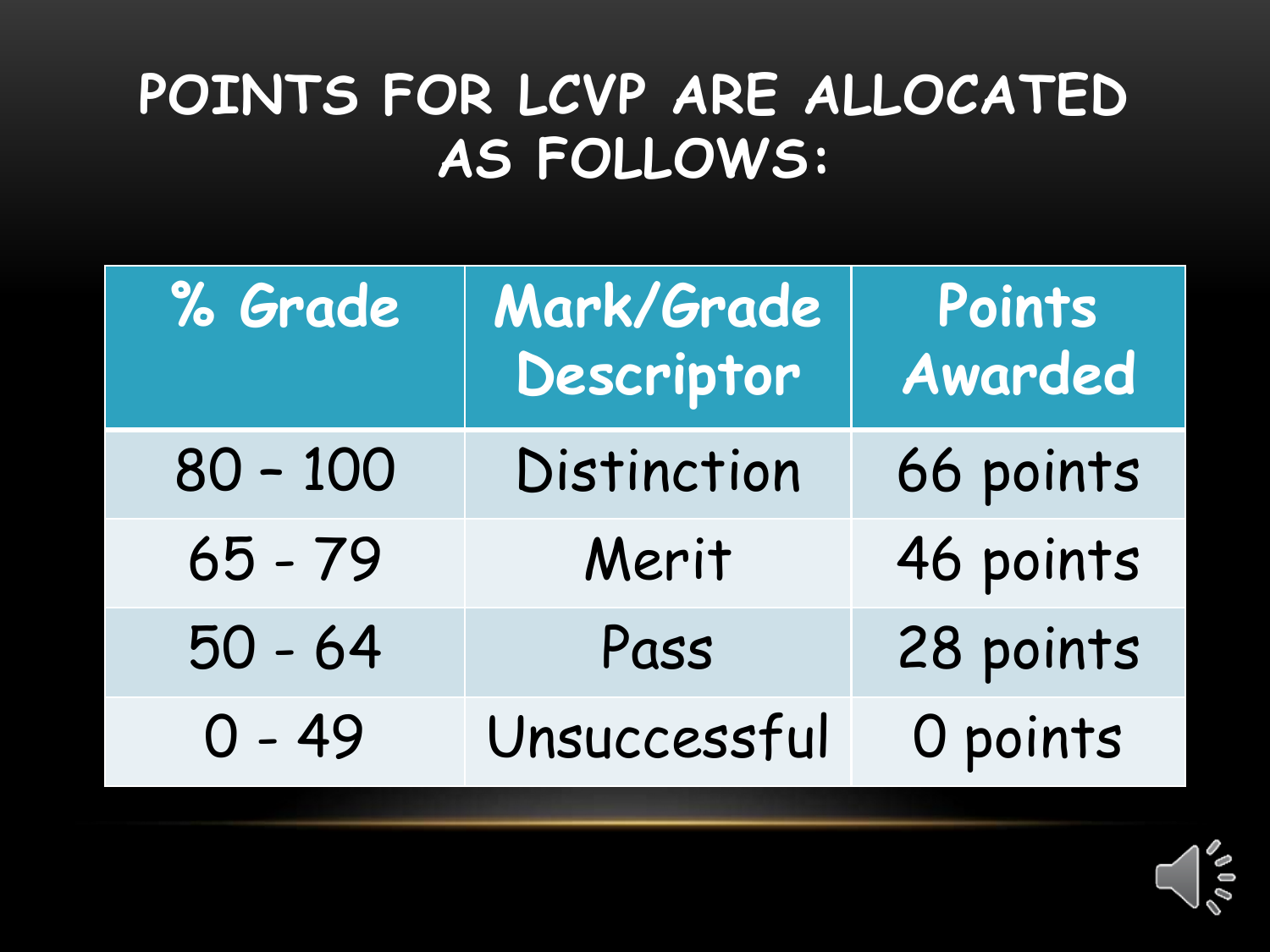#### **POINTS FOR LCVP ARE ALLOCATED AS FOLLOWS:**

| % Grade    | Mark/Grade<br>Descriptor | Points<br>Awarded |
|------------|--------------------------|-------------------|
| $80 - 100$ | Distinction              | 66 points         |
| $65 - 79$  | Merit                    | 46 points         |
| $50 - 64$  | Pass                     | 28 points         |
| $0 - 49$   | Unsuccessful             | O points          |

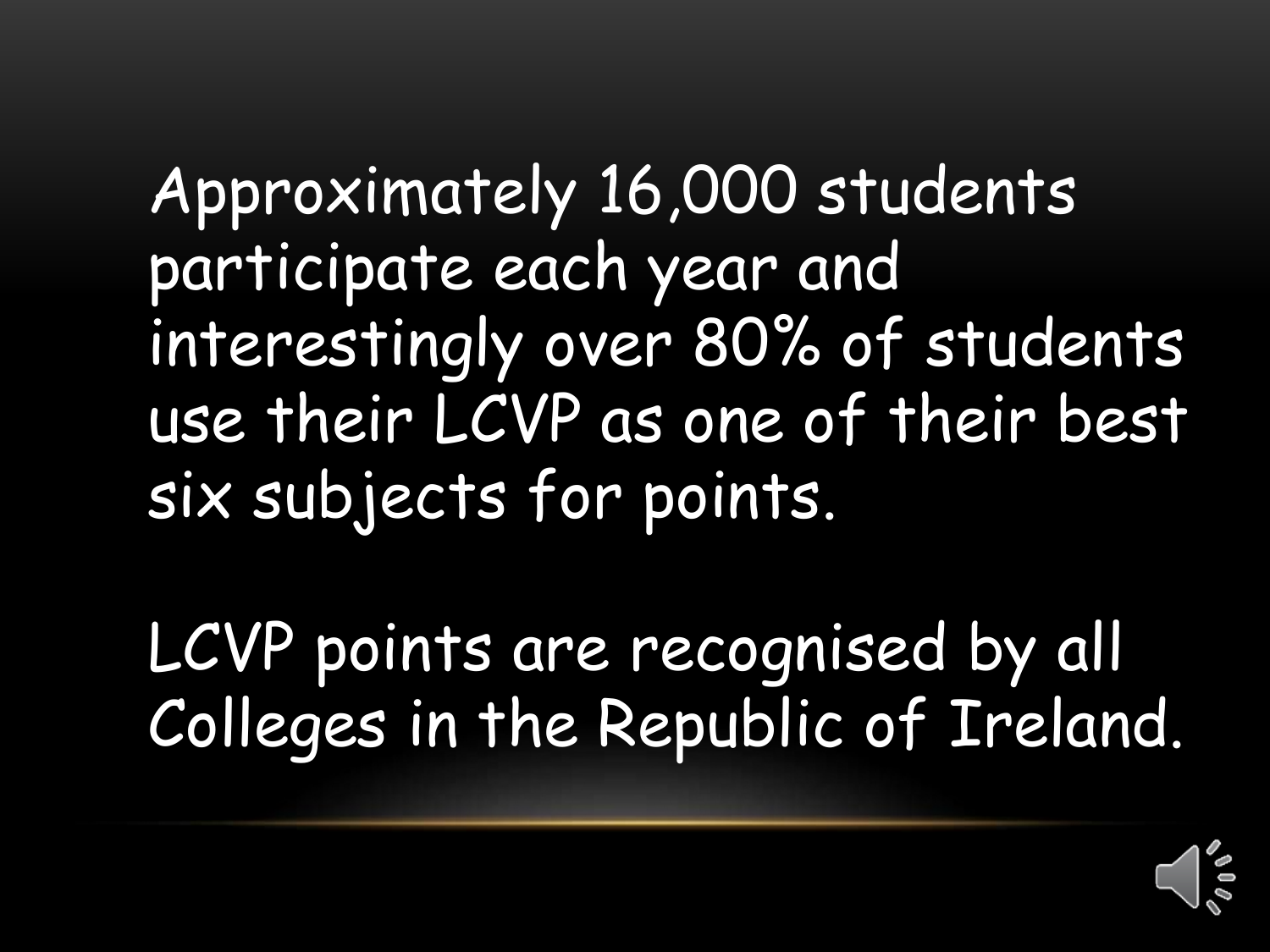Approximately 16,000 students participate each year and interestingly over 80% of students use their LCVP as one of their best six subjects for points.

LCVP points are recognised by all Colleges in the Republic of Ireland.

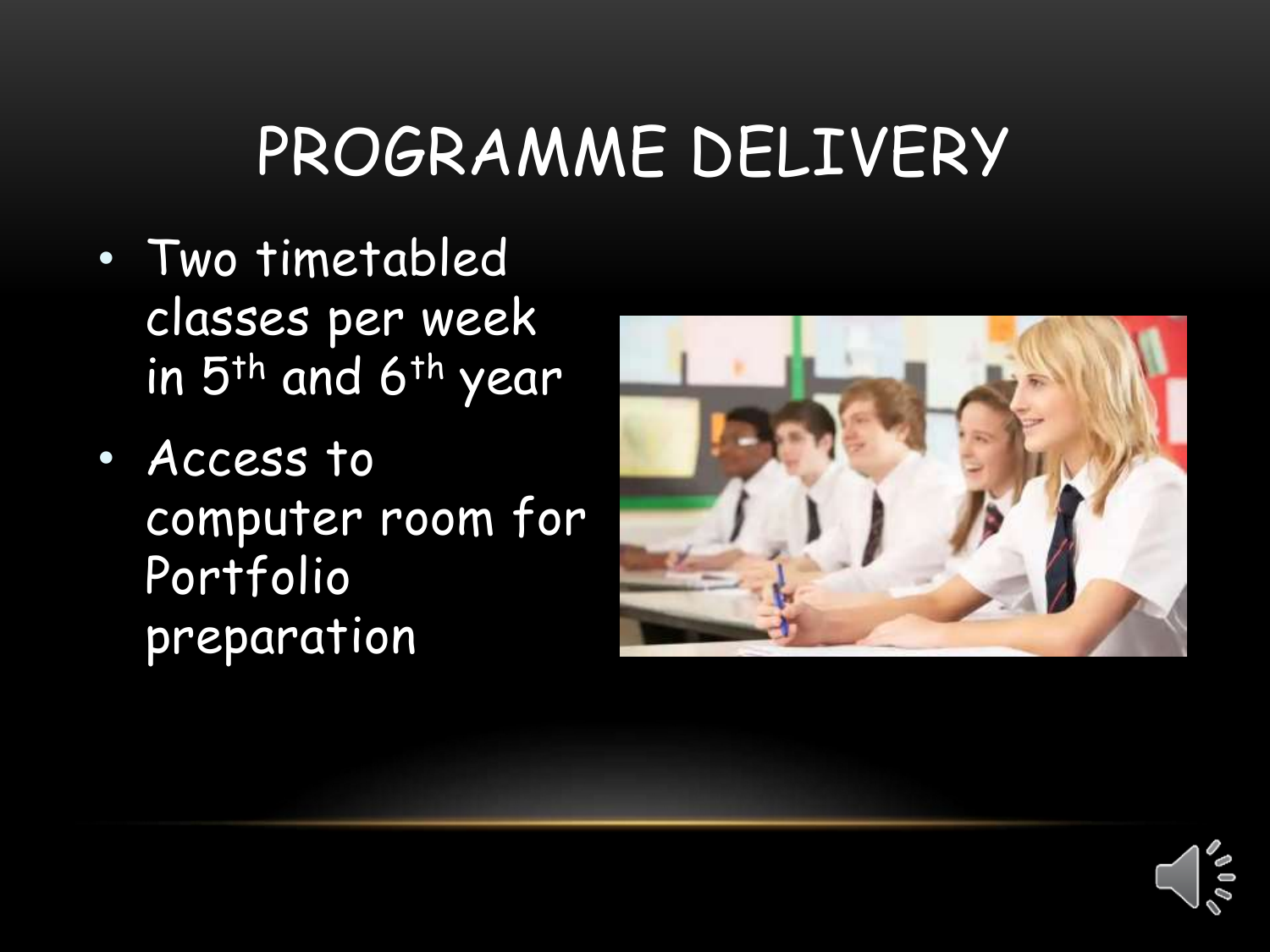### PROGRAMME DELIVERY

- Two timetabled classes per week in 5<sup>th</sup> and 6<sup>th</sup> year
- Access to computer room for Portfolio preparation



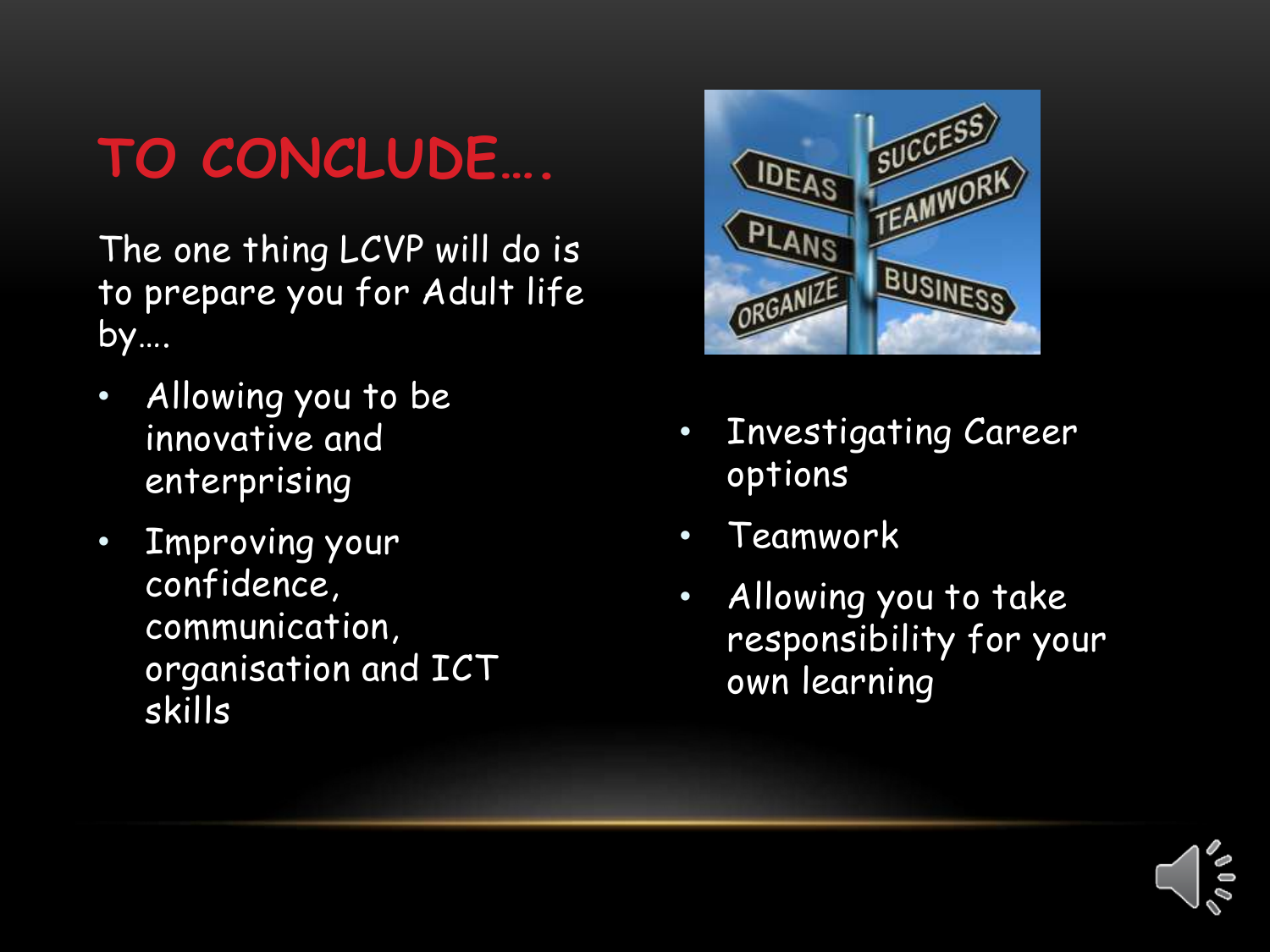### **TO CONCLUDE….**

The one thing LCVP will do is to prepare you for Adult life by….

- Allowing you to be innovative and enterprising
- Improving your confidence, communication, organisation and ICT skills



- Investigating Career options
- Teamwork
- Allowing you to take responsibility for your own learning

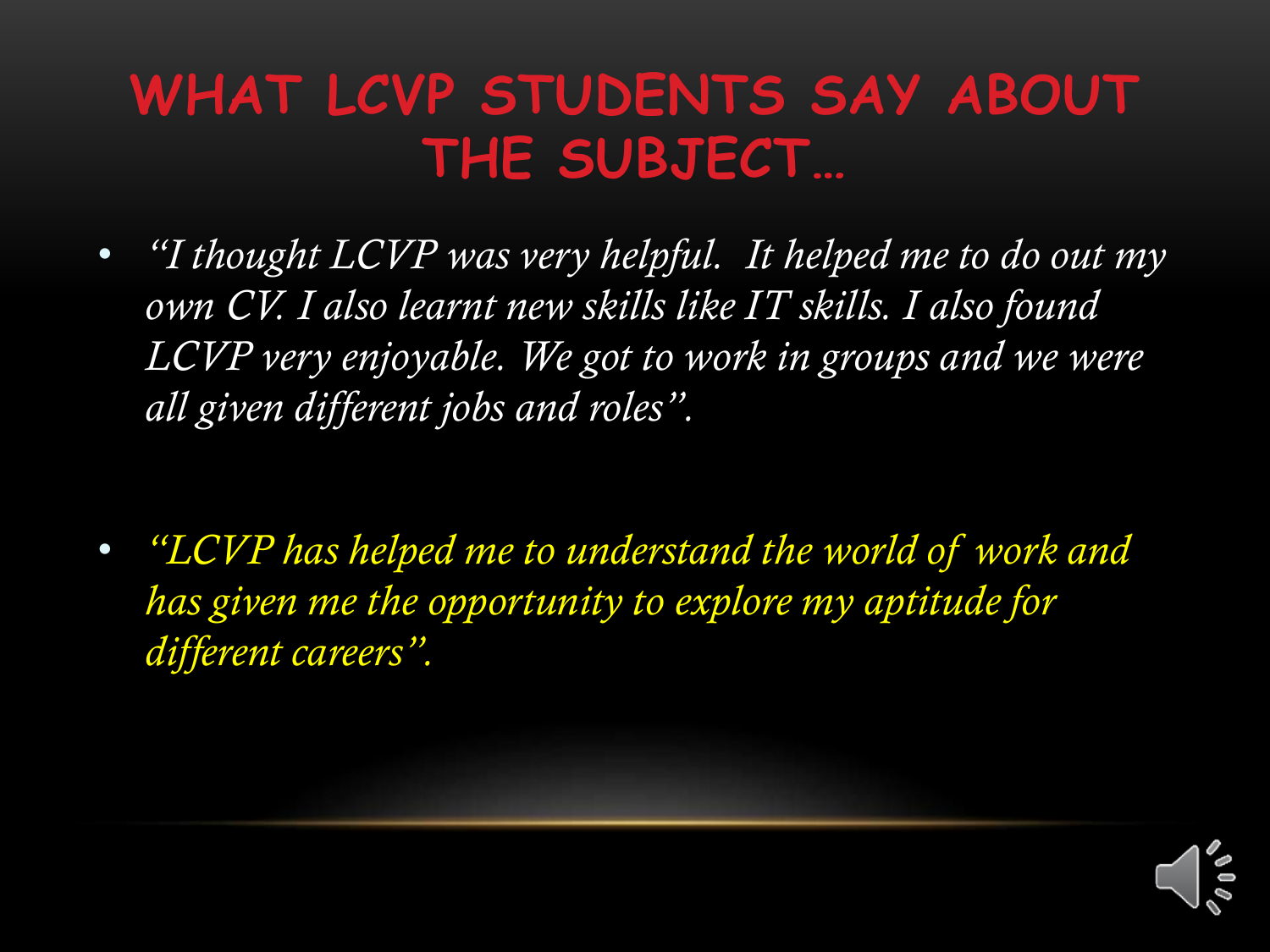### **WHAT LCVP STUDENTS SAY ABOUT THE SUBJECT…**

- *"I thought LCVP was very helpful. It helped me to do out my own CV. I also learnt new skills like IT skills. I also found*  LCVP very enjoyable. We got to work in groups and we were *all given different jobs and roles".*
- *"LCVP has helped me to understand the world of work and has given me the opportunity to explore my aptitude for different careers".*

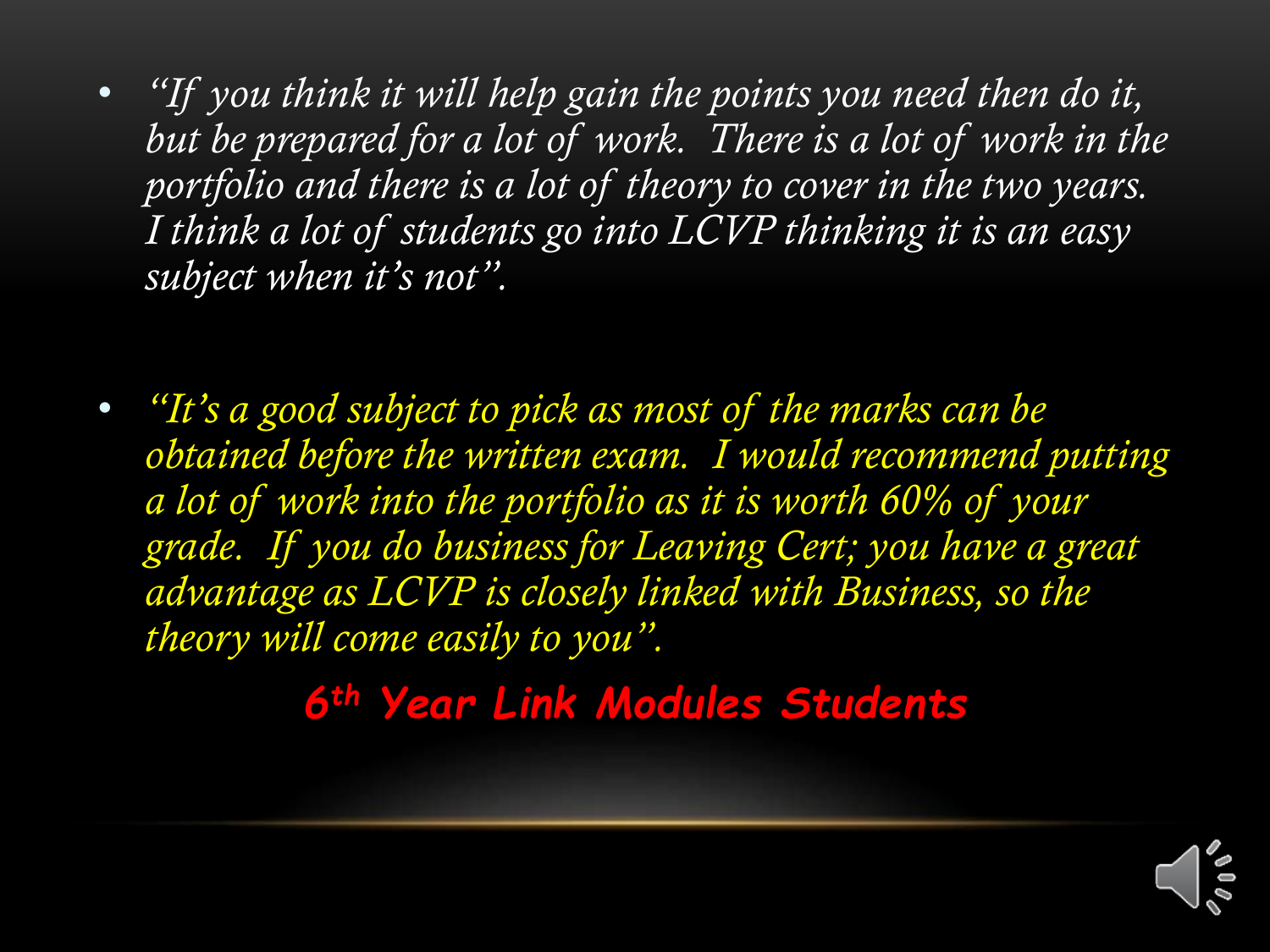- *"If you think it will help gain the points you need then do it,*  but be prepared for a lot of work. There is a lot of work in the *portfolio and there is a lot of theory to cover in the two years. I think a lot of students go into LCVP thinking it is an easy subject when it's not".*
- *"It's a good subject to pick as most of the marks can be obtained before the written exam. I would recommend putting a lot of work into the portfolio as it is worth 60% of your grade. If you do business for Leaving Cert; you have a great advantage as LCVP is closely linked with Business, so the theory will come easily to you".*

*6th Year Link Modules Students* 

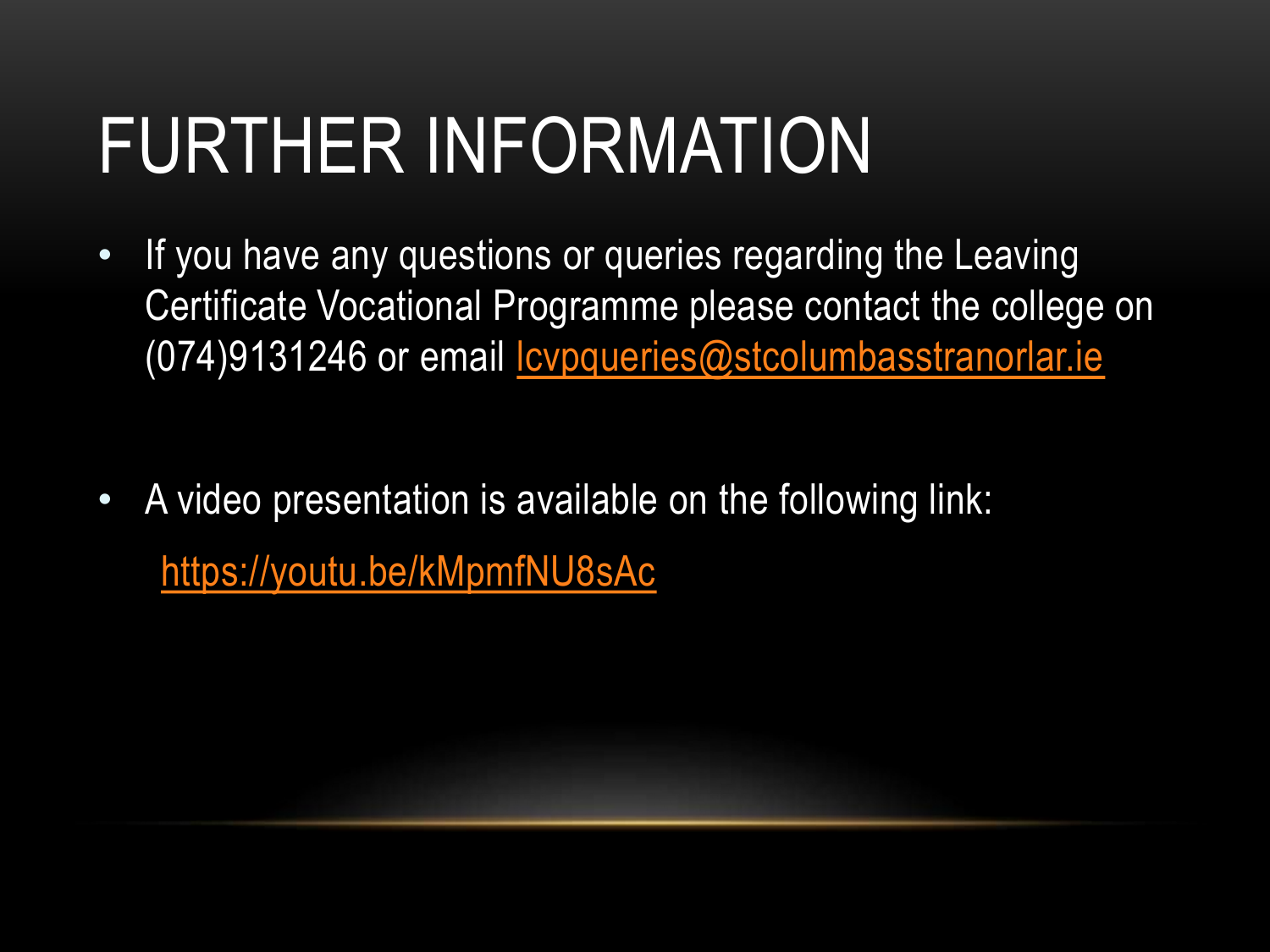## FURTHER INFORMATION

- If you have any questions or queries regarding the Leaving Certificate Vocational Programme please contact the college on (074)9131246 or email [lcvpqueries@stcolumbasstranorlar.ie](mailto:lcvpqueries@stcolumbasstranorlar.ie)
- A video presentation is available on the following link: <https://youtu.be/kMpmfNU8sAc>